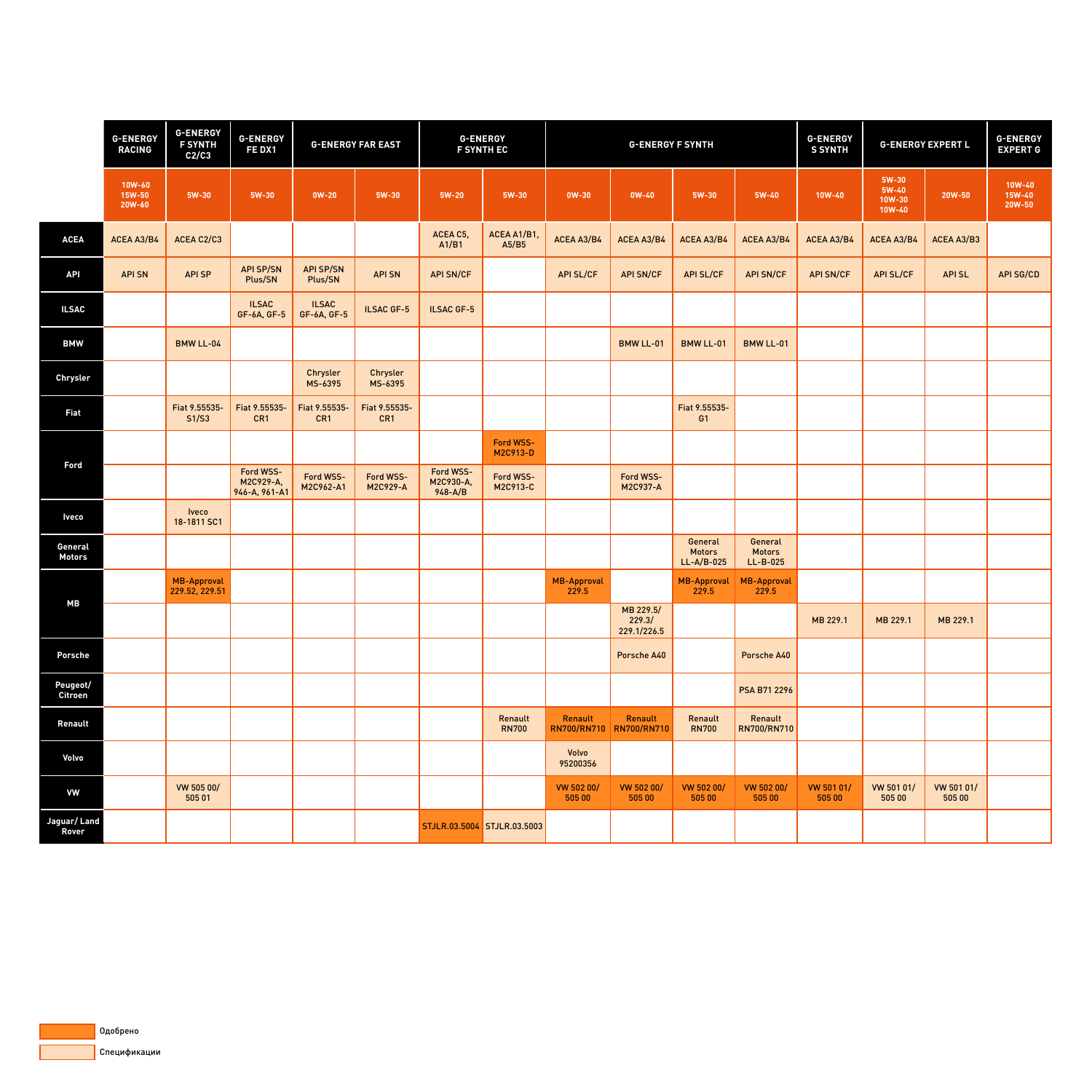|                                    | <b>G-ENERGY</b><br><b>RACING</b>  | <b>G-ENERGY</b><br><b>F SYNTH</b><br>C2/C3 | <b>G-ENERGY</b><br>FE DX1               | <b>G-ENERGY FAR EAST</b>           |                            | <b>G-ENERGY</b><br><b>F SYNTH EC</b>  |                                     | <b>G-ENERGY F SYNTH</b>       |                                     |                                          |                                        | <b>G-ENERGY</b><br><b>S SYNTH</b> | <b>G-ENERGY EXPERT L</b>                    |                      | <b>G-ENERGY</b><br><b>EXPERT G</b> |
|------------------------------------|-----------------------------------|--------------------------------------------|-----------------------------------------|------------------------------------|----------------------------|---------------------------------------|-------------------------------------|-------------------------------|-------------------------------------|------------------------------------------|----------------------------------------|-----------------------------------|---------------------------------------------|----------------------|------------------------------------|
|                                    | 10W-60<br><b>15W-50</b><br>20W-60 | $5W-30$                                    | <b>5W-30</b>                            | $OW-20$                            | <b>5W-30</b>               | $5W-20$                               | <b>5W-30</b>                        | <b>OW-30</b>                  | $OW-40$                             | $5W-30$                                  | $5W-40$                                | <b>10W-40</b>                     | 5W-30<br>$5W-40$<br>10W-30<br><b>10W-40</b> | 20W-50               | 10W-40<br><b>15W-40</b><br>20W-50  |
| <b>ACEA</b>                        | <b>ACEA A3/B4</b>                 | ACEA C2/C3                                 |                                         |                                    |                            | ACEA C5,<br>A1/B1                     | ACEA A1/B1,<br>A5/B5                | ACEA A3/B4                    | <b>ACEA A3/B4</b>                   | <b>ACEA A3/B4</b>                        | <b>ACEA A3/B4</b>                      | <b>ACEA A3/B4</b>                 | <b>ACEA A3/B4</b>                           | <b>ACEA A3/B3</b>    |                                    |
| <b>API</b>                         | <b>API SN</b>                     | <b>APISP</b>                               | <b>API SP/SN</b><br><b>Plus/SN</b>      | <b>API SP/SN</b><br><b>Plus/SN</b> | <b>APISN</b>               | <b>API SN/CF</b>                      |                                     | <b>API SL/CF</b>              | <b>API SN/CF</b>                    | <b>API SL/CF</b>                         | <b>API SN/CF</b>                       | <b>API SN/CF</b>                  | <b>API SL/CF</b>                            | <b>APISL</b>         | <b>API SG/CD</b>                   |
| <b>ILSAC</b>                       |                                   |                                            | <b>ILSAC</b><br><b>GF-6A, GF-5</b>      | <b>ILSAC</b><br><b>GF-6A, GF-5</b> | <b>ILSAC GF-5</b>          | <b>ILSAC GF-5</b>                     |                                     |                               |                                     |                                          |                                        |                                   |                                             |                      |                                    |
| <b>BMW</b>                         |                                   | <b>BMW LL-04</b>                           |                                         |                                    |                            |                                       |                                     |                               | <b>BMW LL-01</b>                    | <b>BMW LL-01</b>                         | <b>BMW LL-01</b>                       |                                   |                                             |                      |                                    |
| <b>Chrysler</b>                    |                                   |                                            |                                         | Chrysler<br>MS-6395                | Chrysler<br><b>MS-6395</b> |                                       |                                     |                               |                                     |                                          |                                        |                                   |                                             |                      |                                    |
| <b>Fiat</b>                        |                                   | Fiat 9.55535-<br>S1/S3                     | Fiat 9.55535-<br>CR1                    | Fiat 9.55535-<br>CR1               | Fiat 9.55535-<br>CR1       |                                       |                                     |                               |                                     | Fiat 9.55535-<br>G <sub>1</sub>          |                                        |                                   |                                             |                      |                                    |
| <b>Ford</b>                        |                                   |                                            |                                         |                                    |                            |                                       | <b>Ford WSS-</b><br><b>M2C913-D</b> |                               |                                     |                                          |                                        |                                   |                                             |                      |                                    |
|                                    |                                   |                                            | Ford WSS-<br>M2C929-A,<br>946-A, 961-A1 | <b>Ford WSS-</b><br>M2C962-A1      | Ford WSS-<br>M2C929-A      | Ford WSS-<br>M2C930-A,<br>$948 - A/B$ | <b>Ford WSS-</b><br>M2C913-C        |                               | <b>Ford WSS-</b><br><b>M2C937-A</b> |                                          |                                        |                                   |                                             |                      |                                    |
| <b>Iveco</b>                       |                                   | Iveco<br>18-1811 SC1                       |                                         |                                    |                            |                                       |                                     |                               |                                     |                                          |                                        |                                   |                                             |                      |                                    |
| General<br><b>Motors</b>           |                                   |                                            |                                         |                                    |                            |                                       |                                     |                               |                                     | General<br><b>Motors</b><br>$LL-A/B-025$ | General<br><b>Motors</b><br>$LL-B-025$ |                                   |                                             |                      |                                    |
| <b>MB</b>                          |                                   | MB-Approval<br>229.52, 229.51              |                                         |                                    |                            |                                       |                                     | <b>MB-Approval</b><br>229.5   |                                     | MB-Approval<br>229.5                     | MB-Approval<br>229.5                   |                                   |                                             |                      |                                    |
|                                    |                                   |                                            |                                         |                                    |                            |                                       |                                     |                               | MB 229.5/<br>229.3/<br>229.1/226.5  |                                          |                                        | MB 229.1                          | MB 229.1                                    | MB 229.1             |                                    |
| <b>Porsche</b>                     |                                   |                                            |                                         |                                    |                            |                                       |                                     |                               | <b>Porsche A40</b>                  |                                          | <b>Porsche A40</b>                     |                                   |                                             |                      |                                    |
| <b>Peugeot/</b><br><b>Citroen</b>  |                                   |                                            |                                         |                                    |                            |                                       |                                     |                               |                                     |                                          | <b>PSA B71 2296</b>                    |                                   |                                             |                      |                                    |
| Renault                            |                                   |                                            |                                         |                                    |                            |                                       | Renault<br><b>RN700</b>             | Renault<br><b>RN700/RN710</b> | Renault<br><b>RN700/RN710</b>       | Renault<br><b>RN700</b>                  | Renault<br><b>RN700/RN710</b>          |                                   |                                             |                      |                                    |
| Volvo                              |                                   |                                            |                                         |                                    |                            |                                       |                                     | Volvo<br>95200356             |                                     |                                          |                                        |                                   |                                             |                      |                                    |
| <b>VW</b>                          |                                   | VW 505 00/<br>505 01                       |                                         |                                    |                            |                                       |                                     | <b>VW 502 00/</b><br>505 00   | <b>VW 502 00/</b><br>505 00         | <b>VW 502 00/</b><br>505 00              | <b>VW 502 00/</b><br>505 00            | VW 501 01/<br>505 00              | VW 501 01/<br>505 00                        | VW 501 01/<br>505 00 |                                    |
| <b>Jaguar/Land</b><br><b>Rover</b> |                                   |                                            |                                         |                                    |                            |                                       | STJLR.03.5004 STJLR.03.5003         |                               |                                     |                                          |                                        |                                   |                                             |                      |                                    |